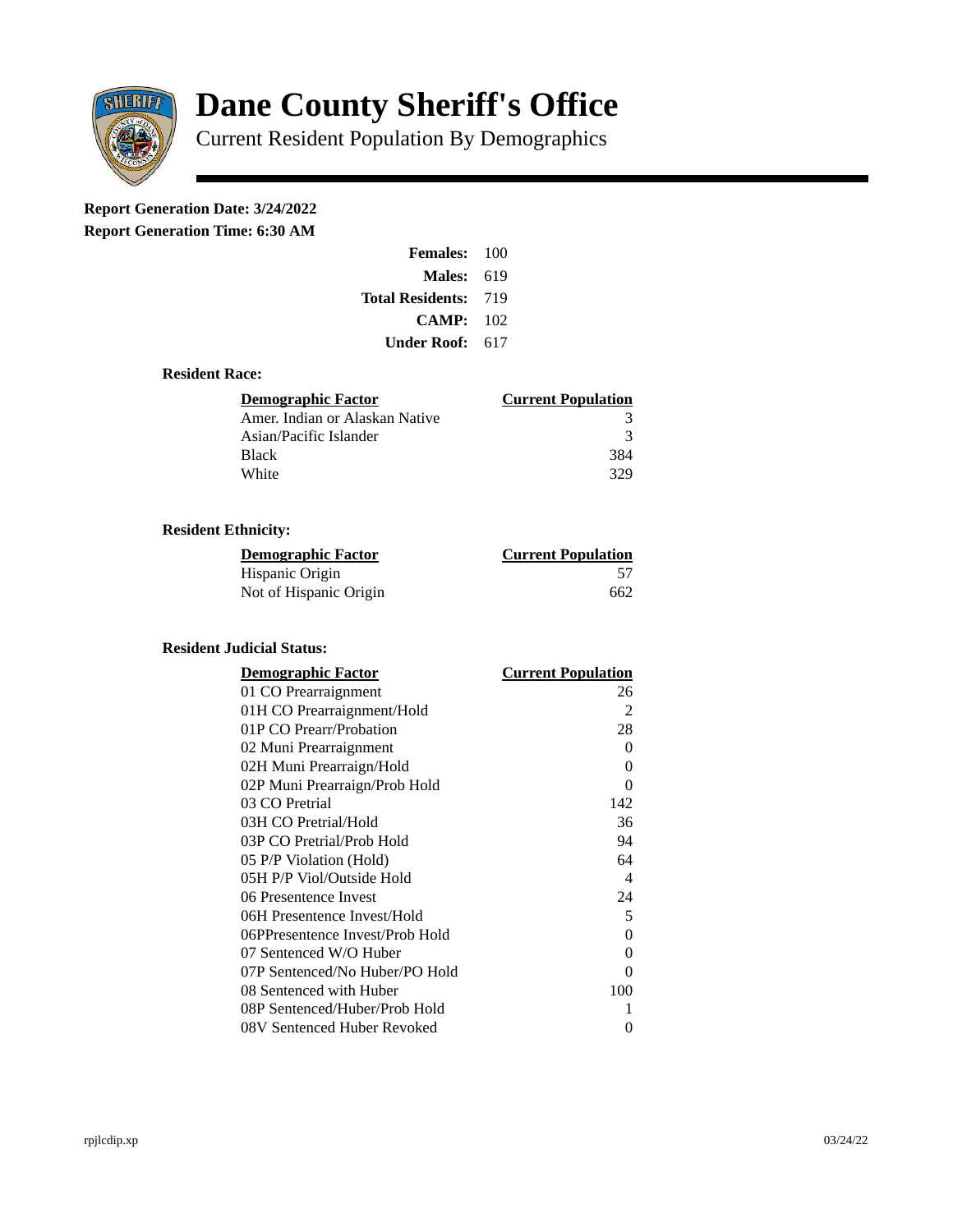

# **Dane County Sheriff's Office**

Current Resident Population By Demographics

# **Report Generation Date: 3/24/2022**

**Report Generation Time: 6:30 AM** 

| <b>Females: 100</b>         |     |
|-----------------------------|-----|
| Males:                      | 619 |
| <b>Total Residents: 719</b> |     |
| CAMP:                       | 102 |
| Under Roof:                 | 617 |

### **Resident Race:**

| Demographic Factor             | <b>Current Population</b> |
|--------------------------------|---------------------------|
| Amer. Indian or Alaskan Native |                           |
| Asian/Pacific Islander         | -3                        |
| <b>Black</b>                   | 384                       |
| White                          | 329                       |

# **Resident Ethnicity:**

| <u>Demographic Factor</u> | <b>Current Population</b> |
|---------------------------|---------------------------|
| Hispanic Origin           | 57                        |
| Not of Hispanic Origin    | 662                       |

# **Resident Judicial Status:**

| <b>Demographic Factor</b>       | <b>Current Population</b> |
|---------------------------------|---------------------------|
| 01 CO Prearraignment            | 26                        |
| 01H CO Prearraignment/Hold      | 2                         |
| 01P CO Prearr/Probation         | 28                        |
| 02 Muni Prearraignment          | 0                         |
| 02H Muni Prearraign/Hold        | 0                         |
| 02P Muni Prearraign/Prob Hold   | 0                         |
| 03 CO Pretrial                  | 142                       |
| 03H CO Pretrial/Hold            | 36                        |
| 03P CO Pretrial/Prob Hold       | 94                        |
| 05 P/P Violation (Hold)         | 64                        |
| 05H P/P Viol/Outside Hold       | $\overline{\mathcal{A}}$  |
| 06 Presentence Invest           | 24                        |
| 06H Presentence Invest/Hold     | 5                         |
| 06PPresentence Invest/Prob Hold | 0                         |
| 07 Sentenced W/O Huber          | 0                         |
| 07P Sentenced/No Huber/PO Hold  | 0                         |
| 08 Sentenced with Huber         | 100                       |
| 08P Sentenced/Huber/Prob Hold   | 1                         |
| 08V Sentenced Huber Revoked     | 0                         |